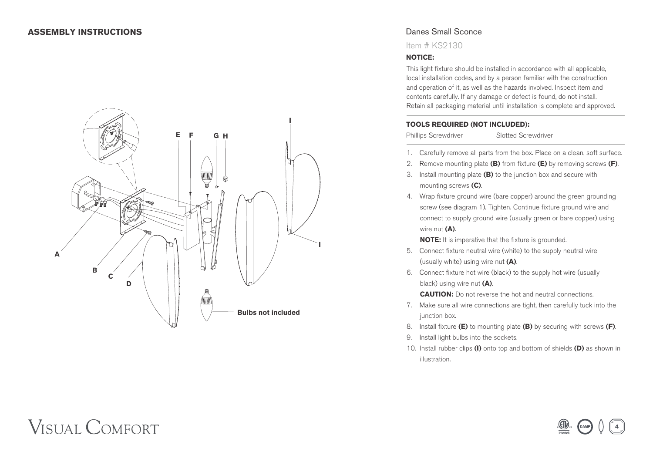## **ASSEMBLY INSTRUCTIONS**



## Danes Small Sconce

Item # KS2130

#### **NOTICE:**

This light fixture should be installed in accordance with all applicable, local installation codes, and by a person familiar with the construction and operation of it, as well as the hazards involved. Inspect item and contents carefully. If any damage or defect is found, do not install. Retain all packaging material until installation is complete and approved.

### **TOOLS REQUIRED (NOT INCLUDED):**

**Phillips Screwdriver** Slotted Screwdriver

- 1. Carefully remove all parts from the box. Place on a clean, soft surface.
- 2. Remove mounting plate **(B)** from fixture **(E)** by removing screws **(F)**.
- 3. Install mounting plate **(B)** to the junction box and secure with mounting screws **(C)**.
- 4. Wrap fixture ground wire (bare copper) around the green grounding screw (see diagram 1). Tighten. Continue fixture ground wire and connect to supply ground wire (usually green or bare copper) using wire nut **(A)**.

**NOTE:** It is imperative that the fixture is grounded.

- 5. Connect fixture neutral wire (white) to the supply neutral wire (usually white) using wire nut **(A)**.
- 6. Connect fixture hot wire (black) to the supply hot wire (usually black) using wire nut **(A)**.

**CAUTION:** Do not reverse the hot and neutral connections.

- 7. Make sure all wire connections are tight, then carefully tuck into the junction box.
- 8. Install fixture **(E)** to mounting plate **(B)** by securing with screws **(F)**.
- 9. Install light bulbs into the sockets.
- 10. Install rubber clips **(I)** onto top and bottom of shields **(D)** as shown in illustration.

# **VISUAL COMFORT**